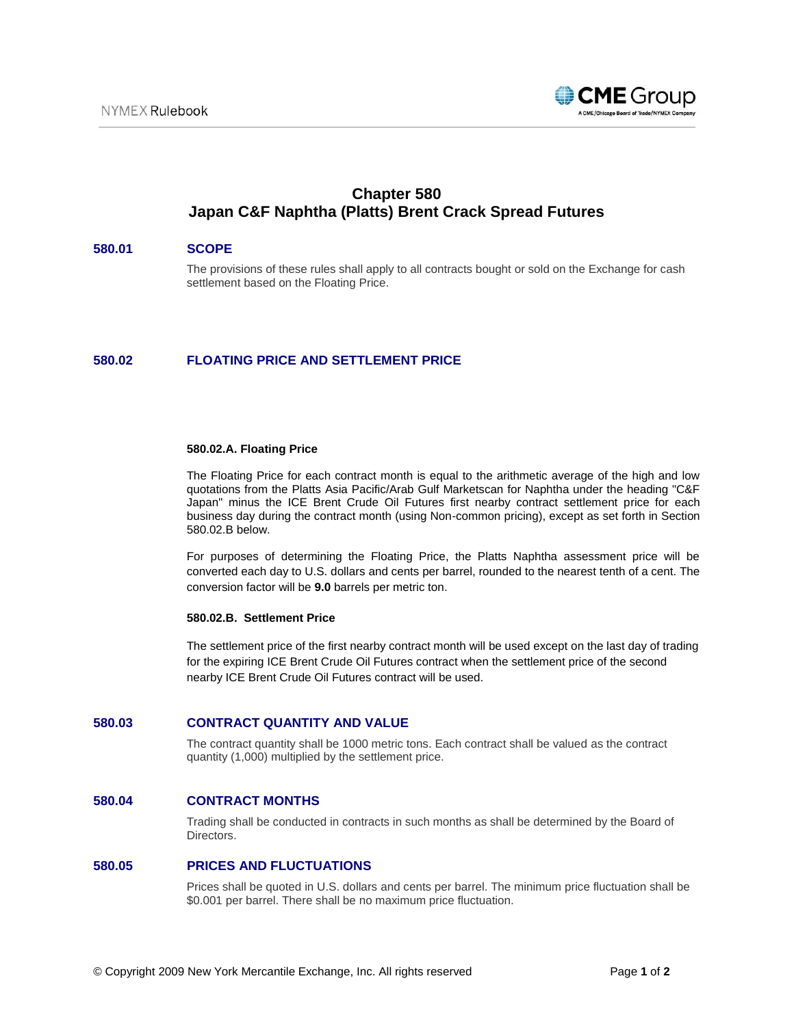

# **Chapter 580 Japan C&F Naphtha (Platts) Brent Crack Spread Futures**

## **580.01 SCOPE**

The provisions of these rules shall apply to all contracts bought or sold on the Exchange for cash settlement based on the Floating Price.

# **580.02 FLOATING PRICE AND SETTLEMENT PRICE**

#### **580.02.A. Floating Price**

The Floating Price for each contract month is equal to the arithmetic average of the high and low quotations from the Platts Asia Pacific/Arab Gulf Marketscan for Naphtha under the heading "C&F Japan" minus the ICE Brent Crude Oil Futures first nearby contract settlement price for each business day during the contract month (using Non-common pricing), except as set forth in Section 580.02.B below.

For purposes of determining the Floating Price, the Platts Naphtha assessment price will be converted each day to U.S. dollars and cents per barrel, rounded to the nearest tenth of a cent. The conversion factor will be **9.0** barrels per metric ton.

#### **580.02.B. Settlement Price**

The settlement price of the first nearby contract month will be used except on the last day of trading for the expiring ICE Brent Crude Oil Futures contract when the settlement price of the second nearby ICE Brent Crude Oil Futures contract will be used.

## **580.03 CONTRACT QUANTITY AND VALUE**

The contract quantity shall be 1000 metric tons. Each contract shall be valued as the contract quantity (1,000) multiplied by the settlement price.

# **580.04 CONTRACT MONTHS**

Trading shall be conducted in contracts in such months as shall be determined by the Board of Directors.

#### **580.05 PRICES AND FLUCTUATIONS**

Prices shall be quoted in U.S. dollars and cents per barrel. The minimum price fluctuation shall be \$0.001 per barrel. There shall be no maximum price fluctuation.